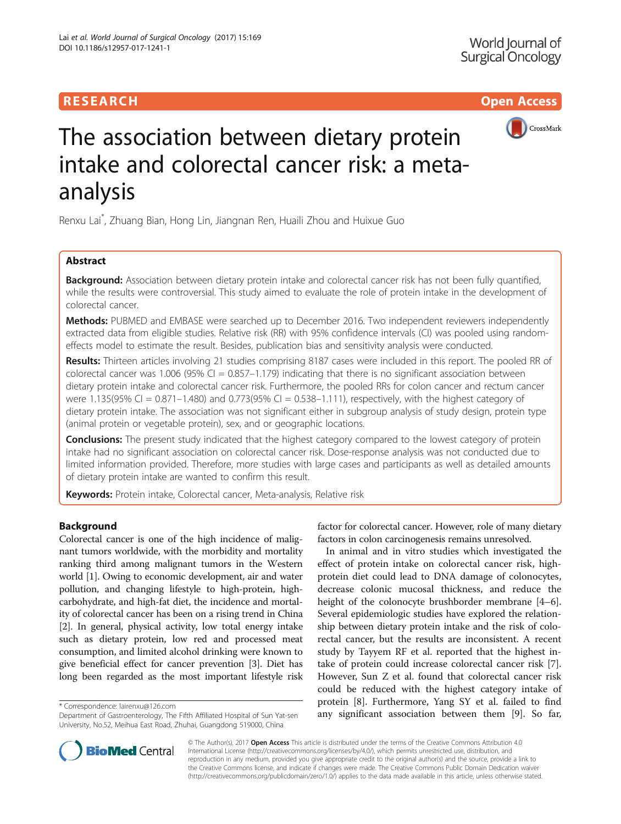# **RESEARCH CHILD CONTROL** CONTROL CONTROL CONTROL CONTROL CONTROL CONTROL CONTROL CONTROL CONTROL CONTROL CONTROL



# The association between dietary protein intake and colorectal cancer risk: a metaanalysis

Renxu Lai\* , Zhuang Bian, Hong Lin, Jiangnan Ren, Huaili Zhou and Huixue Guo

# Abstract

Background: Association between dietary protein intake and colorectal cancer risk has not been fully quantified, while the results were controversial. This study aimed to evaluate the role of protein intake in the development of colorectal cancer.

Methods: PUBMED and EMBASE were searched up to December 2016. Two independent reviewers independently extracted data from eligible studies. Relative risk (RR) with 95% confidence intervals (CI) was pooled using randomeffects model to estimate the result. Besides, publication bias and sensitivity analysis were conducted.

Results: Thirteen articles involving 21 studies comprising 8187 cases were included in this report. The pooled RR of colorectal cancer was 1.006 (95% CI =  $0.857-1.179$ ) indicating that there is no significant association between dietary protein intake and colorectal cancer risk. Furthermore, the pooled RRs for colon cancer and rectum cancer were 1.135(95% CI = 0.871–1.480) and 0.773(95% CI = 0.538–1.111), respectively, with the highest category of dietary protein intake. The association was not significant either in subgroup analysis of study design, protein type (animal protein or vegetable protein), sex, and or geographic locations.

**Conclusions:** The present study indicated that the highest category compared to the lowest category of protein intake had no significant association on colorectal cancer risk. Dose-response analysis was not conducted due to limited information provided. Therefore, more studies with large cases and participants as well as detailed amounts of dietary protein intake are wanted to confirm this result.

Keywords: Protein intake, Colorectal cancer, Meta-analysis, Relative risk

# Background

Colorectal cancer is one of the high incidence of malignant tumors worldwide, with the morbidity and mortality ranking third among malignant tumors in the Western world [[1](#page-8-0)]. Owing to economic development, air and water pollution, and changing lifestyle to high-protein, highcarbohydrate, and high-fat diet, the incidence and mortality of colorectal cancer has been on a rising trend in China [[2\]](#page-8-0). In general, physical activity, low total energy intake such as dietary protein, low red and processed meat consumption, and limited alcohol drinking were known to give beneficial effect for cancer prevention [[3](#page-8-0)]. Diet has long been regarded as the most important lifestyle risk

factor for colorectal cancer. However, role of many dietary factors in colon carcinogenesis remains unresolved.

In animal and in vitro studies which investigated the effect of protein intake on colorectal cancer risk, highprotein diet could lead to DNA damage of colonocytes, decrease colonic mucosal thickness, and reduce the height of the colonocyte brushborder membrane [\[4](#page-8-0)–[6](#page-8-0)]. Several epidemiologic studies have explored the relationship between dietary protein intake and the risk of colorectal cancer, but the results are inconsistent. A recent study by Tayyem RF et al. reported that the highest intake of protein could increase colorectal cancer risk [\[7](#page-8-0)]. However, Sun Z et al. found that colorectal cancer risk could be reduced with the highest category intake of protein [\[8](#page-8-0)]. Furthermore, Yang SY et al. failed to find any protem [o]. Furthermore, rang 31 et al. raned to mide protem [o]. Furthermore, rang 31 et al. raned to mid<br>Department of Gastroenterology, The Fifth Affiliated Hospital of Sun Yat-sen any significant association betwee



© The Author(s). 2017 **Open Access** This article is distributed under the terms of the Creative Commons Attribution 4.0 International License [\(http://creativecommons.org/licenses/by/4.0/](http://creativecommons.org/licenses/by/4.0/)), which permits unrestricted use, distribution, and reproduction in any medium, provided you give appropriate credit to the original author(s) and the source, provide a link to the Creative Commons license, and indicate if changes were made. The Creative Commons Public Domain Dedication waiver [\(http://creativecommons.org/publicdomain/zero/1.0/](http://creativecommons.org/publicdomain/zero/1.0/)) applies to the data made available in this article, unless otherwise stated.

Department of Gastroenterology, The Fifth Affiliated Hospital of Sun Yat-sen University, No.52, Meihua East Road, Zhuhai, Guangdong 519000, China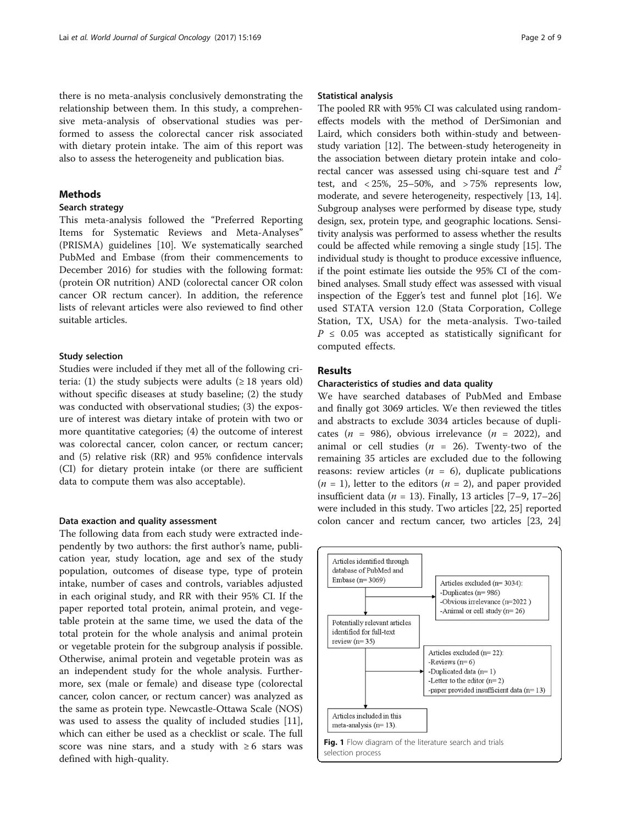<span id="page-1-0"></span>there is no meta-analysis conclusively demonstrating the relationship between them. In this study, a comprehensive meta-analysis of observational studies was performed to assess the colorectal cancer risk associated with dietary protein intake. The aim of this report was also to assess the heterogeneity and publication bias.

# Methods

## Search strategy

This meta-analysis followed the "Preferred Reporting Items for Systematic Reviews and Meta-Analyses" (PRISMA) guidelines [[10\]](#page-8-0). We systematically searched PubMed and Embase (from their commencements to December 2016) for studies with the following format: (protein OR nutrition) AND (colorectal cancer OR colon cancer OR rectum cancer). In addition, the reference lists of relevant articles were also reviewed to find other suitable articles.

# Study selection

Studies were included if they met all of the following criteria: (1) the study subjects were adults ( $\geq 18$  years old) without specific diseases at study baseline; (2) the study was conducted with observational studies; (3) the exposure of interest was dietary intake of protein with two or more quantitative categories; (4) the outcome of interest was colorectal cancer, colon cancer, or rectum cancer; and (5) relative risk (RR) and 95% confidence intervals (CI) for dietary protein intake (or there are sufficient data to compute them was also acceptable).

## Data exaction and quality assessment

The following data from each study were extracted independently by two authors: the first author's name, publication year, study location, age and sex of the study population, outcomes of disease type, type of protein intake, number of cases and controls, variables adjusted in each original study, and RR with their 95% CI. If the paper reported total protein, animal protein, and vegetable protein at the same time, we used the data of the total protein for the whole analysis and animal protein or vegetable protein for the subgroup analysis if possible. Otherwise, animal protein and vegetable protein was as an independent study for the whole analysis. Furthermore, sex (male or female) and disease type (colorectal cancer, colon cancer, or rectum cancer) was analyzed as the same as protein type. Newcastle-Ottawa Scale (NOS) was used to assess the quality of included studies [\[11](#page-8-0)], which can either be used as a checklist or scale. The full score was nine stars, and a study with  $\geq 6$  stars was defined with high-quality.

# Statistical analysis

The pooled RR with 95% CI was calculated using randomeffects models with the method of DerSimonian and Laird, which considers both within-study and betweenstudy variation [\[12\]](#page-8-0). The between-study heterogeneity in the association between dietary protein intake and colorectal cancer was assessed using chi-square test and  $I^2$ test, and  $\langle 25\%, 25-50\%, \text{ and } \rangle 75\%$  represents low, moderate, and severe heterogeneity, respectively [\[13, 14](#page-8-0)]. Subgroup analyses were performed by disease type, study design, sex, protein type, and geographic locations. Sensitivity analysis was performed to assess whether the results could be affected while removing a single study [[15](#page-8-0)]. The individual study is thought to produce excessive influence, if the point estimate lies outside the 95% CI of the combined analyses. Small study effect was assessed with visual inspection of the Egger's test and funnel plot [[16](#page-8-0)]. We used STATA version 12.0 (Stata Corporation, College Station, TX, USA) for the meta-analysis. Two-tailed  $P \leq 0.05$  was accepted as statistically significant for computed effects.

# Results

# Characteristics of studies and data quality

We have searched databases of PubMed and Embase and finally got 3069 articles. We then reviewed the titles and abstracts to exclude 3034 articles because of duplicates ( $n = 986$ ), obvious irrelevance ( $n = 2022$ ), and animal or cell studies ( $n = 26$ ). Twenty-two of the remaining 35 articles are excluded due to the following reasons: review articles ( $n = 6$ ), duplicate publications  $(n = 1)$ , letter to the editors  $(n = 2)$ , and paper provided insufficient data ( $n = 13$ ). Finally, 13 articles [[7](#page-8-0)-[9](#page-8-0), [17](#page-8-0)-[26](#page-8-0)] were included in this study. Two articles [\[22, 25](#page-8-0)] reported colon cancer and rectum cancer, two articles [[23](#page-8-0), [24](#page-8-0)]

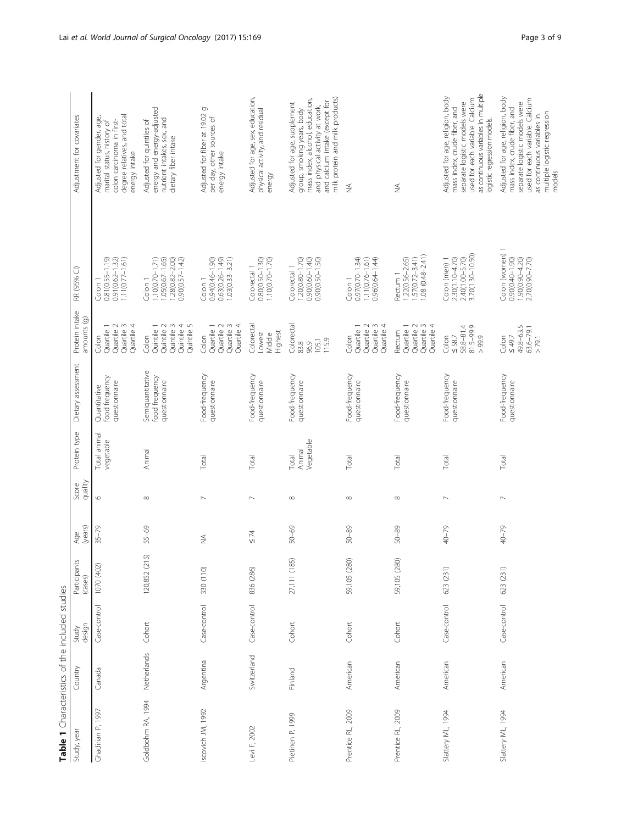<span id="page-2-0"></span>

| Study, year       | Country     | design<br>Study | Participants<br>(cases) | (years)<br>Age | quality<br>Score         | Protein type                 | Dietary assessment                                  | Protein intake<br>amounts (g)                                                      | RR (95% CI)                                                                                                | Adjustment for covariates                                                                                                                                                                                    |
|-------------------|-------------|-----------------|-------------------------|----------------|--------------------------|------------------------------|-----------------------------------------------------|------------------------------------------------------------------------------------|------------------------------------------------------------------------------------------------------------|--------------------------------------------------------------------------------------------------------------------------------------------------------------------------------------------------------------|
| Ghadirian P, 1997 | Canada      | Case-control    | 1070 (402)              | $35 - 79$      | $\circ$                  | Total animal<br>vegetable    | food frequency<br>questionnaire<br>Quantitative     | Quartile 4<br>Quartile 1<br>Quartile 2<br>Quartile<br>Colon                        | $0.81(0.55 - 1.19)$<br>$1.11(0.77 - 1.61)$<br>$0.91(0.62 - 1.32)$<br>Colon 1                               | degree relatives, and total<br>Adjusted for gender, age,<br>colon carcinoma in first-<br>marital status, history of<br>energy intake                                                                         |
| Goldbohm RA, 1994 | Netherlands | Cohort          | 120,852 (215)           | $55 - 69$      | $\infty$                 | Animal                       | Semiquantitative<br>food frequency<br>questionnaire | $\sim$<br>4 m<br>Quintile<br>Quintile<br>Quintile<br>Quintile<br>Quintile<br>Colon | 1.28(0.82-2.00)<br>$1.10(0.70 - 1.71)$<br>$1.05(0.67 - 1.65)$<br>$0.90(0.57 - 1.42)$<br>Colon <sub>1</sub> | energy and energy-adjusted<br>nutrient intakes, sex, and<br>Adjusted for quintiles of<br>dietary fiber intake                                                                                                |
| Iscovich JM, 1992 | Argentina   | Case-control    | 330 (110)               | ≨              | $\sim$                   | Total                        | Food-frequency<br>questionnaire                     | Quartile 1<br>Quartile 2<br>Quartile 4<br>Quartile<br>Colon                        | $0.94(0.46 - 1.90)$<br>$0.63(0.26 - 1.49)$<br>$1.03(0.33 - 3.21)$<br>Colon <sub>1</sub>                    | Adjusted for fiber at 19.02 g<br>per day, other sources of<br>energy intake                                                                                                                                  |
| Levi F, 2002      | Switzerland | Case-control    | 836 (286)               | $\leq 74$      | $\sim$                   | Total                        | Food-frequency<br>questionnaire                     | Colorectal<br>Highest<br>Lowest<br>Middle                                          | 1.10(0.70-1.70)<br>$0.80(0.50 - 1.30)$<br>Colorectal 1                                                     | Adjusted for age, sex, education,<br>physical activity, and residual<br>energy                                                                                                                               |
| Pietinen P, 1999  | Finland     | Cohort          | 27,111 (185)            | $50 - 69$      | $\infty$                 | Vegetable<br>Animal<br>Total | Food-frequency<br>questionnaire                     | Colorectal<br>115.9<br>105.1<br>83.8<br>96.9                                       | $0.90(0.60 - 1.40)$<br>$1.20(0.80 - 1.70)$<br>$0.90(0.50 - 1.50)$<br>Colorectal 1                          | milk protein and milk products)<br>mass index, alcohol, education,<br>and calcium intake (except for<br>Adjusted for age, supplement<br>and physical activity at work,<br>group, smoking years, body         |
| Prentice RL, 2009 | American    | Cohort          | 59,105 (280)            | $50 - 89$      | $\infty$                 | Total                        | Food-frequency<br>questionnaire                     | Quartile 4<br>Quartile 1<br>$\infty$<br>Quartile<br>Quartile<br>Colon              | $0.97(0.70 - 1.34)$<br>$1.11(0.76 - 1.61)$<br>$0.96(0.64 - 1.44)$<br>Colon <sub>1</sub>                    | ₹                                                                                                                                                                                                            |
| Prentice RL, 2009 | American    | Cohort          | 59,105 (280)            | $50 - 89$      | $\infty$                 | Total                        | Food-frequency<br>questionnaire                     | $\sim$<br>4<br>Quartile 1<br>Quartile 2<br>Quartile<br>Quartile<br>Rectum          | $1.08(0.48 - 2.41)$<br>$1.57(0.72 - 3.41)$<br>1.22(0.56-2.65)<br>Rectum 1                                  | ≨                                                                                                                                                                                                            |
| Slattery ML, 1994 | American    | Case-control    | 623 (231)               | $40 - 79$      | $\overline{\phantom{a}}$ | Total                        | Food-frequency<br>questionnaire                     | $58.8 - 81.4$<br>$81.5 - 99.9$<br>Colon<br>$\leq$ 58.7<br>0.66 <                   | 2.40(1.00-5.70)<br>3.70(1.30-10.50)<br>2.30(1.10-4.70)<br>Colon (men) 1                                    | as continuous variables in multiple<br>Adjusted for age, religion, body<br>used for each variable. Calcium<br>separate logistic models were<br>mass index, crude fiber, and<br>logistic regression models.   |
| Slattery ML, 1994 | American    | Case-control    | 623 (231)               | $40 - 79$      | $\triangleright$         | Total                        | Food-frequency<br>questionnaire                     | 49.8-63.5<br>$63.6 - 79.1$<br>$\leq 49.7$<br>Colon<br>> 79.1                       | Colon (women) 1<br>$0.90(0.40 - 1.90)$<br>$1.90(0.90 - 4.20)$<br>2.70(0.90-7.70)                           | Adjusted for age, religion, body<br>used for each variable. Calcium<br>separate logistic models were<br>mass index, crude fiber, and<br>multiple logistic regression<br>as continuous variables in<br>models |

Table 1 Characteristics of the included studies Table 1 Characteristics of the included studies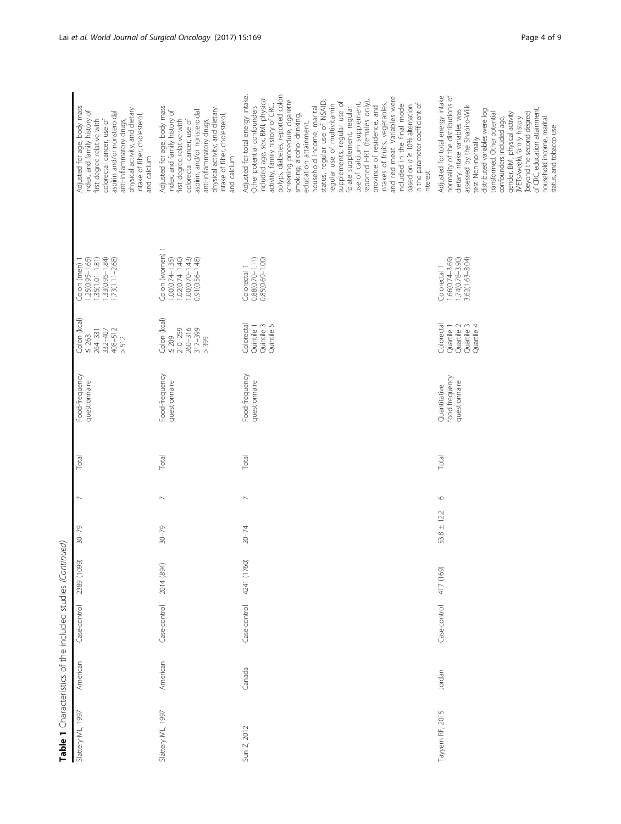|                                                             | Adjusted for age, body mass<br>physical activity, and dietary<br>index, and family history of<br>aspirin and/or nonsteroidal<br>intake of fiber, cholesterol,<br>colorectal cancer, use of<br>anti-inflammatory drugs,<br>first-degree relative with<br>and calcium | Adjusted for age, body mass<br>index, and family history of<br>physical activity, and dietary<br>aspirin, and/or nonsteroidal<br>intake of fiber, cholesterol,<br>anti-inflammatory drugs,<br>first-degree relative with<br>colorectal cancer, use of<br>and calcium | polyps, diabetes, reported colon<br>Adjusted for total energy intake.<br>and red meat. Variables were<br>included age, sex, BMI, physical<br>screening procedure, cigarette<br>status, regular use of NSAID,<br>supplements, regular use of<br>reported HRT (females only)<br>intakes of fruits, vegetables,<br>ncluded in the final model<br>in the parameter coefficient of<br>activity, family history of CRC,<br>use of calcium supplement,<br>regular use of multivitamin<br>based on $a \ge 10%$ alternation<br>province of residence, and<br>household income, marital<br>Other potential confounders<br>folate supplement, regular<br>smoking, alcohol drinking,<br>education attainment,<br>interest | normality of the distributions of<br>Adjusted for total energy intake<br>assessed by the Shapiro-Wilk<br>of CRC, education attainment,<br>dietary intake variables was<br>distributed variables were log<br>(beyond the second degree)<br>gender, BMI, physical activity<br>transformed. Other potential<br>(METs/week), family history<br>confounders included age,<br>household income, marital<br>status, and tobacco use<br>test. Non-normally |
|-------------------------------------------------------------|---------------------------------------------------------------------------------------------------------------------------------------------------------------------------------------------------------------------------------------------------------------------|----------------------------------------------------------------------------------------------------------------------------------------------------------------------------------------------------------------------------------------------------------------------|---------------------------------------------------------------------------------------------------------------------------------------------------------------------------------------------------------------------------------------------------------------------------------------------------------------------------------------------------------------------------------------------------------------------------------------------------------------------------------------------------------------------------------------------------------------------------------------------------------------------------------------------------------------------------------------------------------------|----------------------------------------------------------------------------------------------------------------------------------------------------------------------------------------------------------------------------------------------------------------------------------------------------------------------------------------------------------------------------------------------------------------------------------------------------|
|                                                             | $1.33(0.95 - 1.84)$<br>$1.35(1.01 - 1.81)$<br>$1.73(1.11 - 2.68)$<br>$1.25(0.95 - 1.65)$<br>Colon (men)                                                                                                                                                             | Colon (women)<br>1.00(0.74–1.35)<br>$1.02(0.74 - 1.40)$<br>$1.00(0.70 - 1.43)$<br>$0.91(0.56 - 1.48)$                                                                                                                                                                | $0.88(0.70 - 1.11)$<br>$0.85(0.69 - 1.00)$<br>Colorectal 1                                                                                                                                                                                                                                                                                                                                                                                                                                                                                                                                                                                                                                                    | $1.66(0.74 - 3.69)$<br>$1.74(0.78 - 3.90)$<br>3.62(1.63-8.04)<br>Colorectal 1                                                                                                                                                                                                                                                                                                                                                                      |
|                                                             | Colon (kcal)<br>332-407<br>408-512<br>264-331<br>$\leq 263$<br>> 512                                                                                                                                                                                                | Colon (kcal)<br>210-259<br>$260 - 316$<br>$317 - 399$<br>$\leq 209$<br>> 399                                                                                                                                                                                         | Quintile 3<br>Quintile 5<br>Colorectal<br>Quintile 1                                                                                                                                                                                                                                                                                                                                                                                                                                                                                                                                                                                                                                                          | Quartile 4<br>Colorectal<br>Quartile 2<br>$\sim$<br>Quartile 1<br>Quartile 3                                                                                                                                                                                                                                                                                                                                                                       |
|                                                             | Food-frequency<br>questionnaire                                                                                                                                                                                                                                     | Food-frequency<br>questionnaire                                                                                                                                                                                                                                      | Food-frequency<br>questionnaire                                                                                                                                                                                                                                                                                                                                                                                                                                                                                                                                                                                                                                                                               | food frequency<br>questionnaire<br>Quantitative                                                                                                                                                                                                                                                                                                                                                                                                    |
|                                                             | Total                                                                                                                                                                                                                                                               | Total                                                                                                                                                                                                                                                                | Total                                                                                                                                                                                                                                                                                                                                                                                                                                                                                                                                                                                                                                                                                                         | Total                                                                                                                                                                                                                                                                                                                                                                                                                                              |
|                                                             | $\sim$<br>$30 - 79$                                                                                                                                                                                                                                                 | $\overline{ }$<br>$30 - 79$                                                                                                                                                                                                                                          | $\sim$<br>$20 - 74$                                                                                                                                                                                                                                                                                                                                                                                                                                                                                                                                                                                                                                                                                           | $\circ$<br>$53.8 \pm 12.2$                                                                                                                                                                                                                                                                                                                                                                                                                         |
|                                                             | 2389 (1099)                                                                                                                                                                                                                                                         | 2014 (894)                                                                                                                                                                                                                                                           | 4241 (1760)                                                                                                                                                                                                                                                                                                                                                                                                                                                                                                                                                                                                                                                                                                   | 417 (169)                                                                                                                                                                                                                                                                                                                                                                                                                                          |
|                                                             | Case-control                                                                                                                                                                                                                                                        | Case-control                                                                                                                                                                                                                                                         | Case-control                                                                                                                                                                                                                                                                                                                                                                                                                                                                                                                                                                                                                                                                                                  | Case-control                                                                                                                                                                                                                                                                                                                                                                                                                                       |
|                                                             | American                                                                                                                                                                                                                                                            | American                                                                                                                                                                                                                                                             | Canada                                                                                                                                                                                                                                                                                                                                                                                                                                                                                                                                                                                                                                                                                                        | Jordan                                                                                                                                                                                                                                                                                                                                                                                                                                             |
| Table 1 Characteristics of the included studies (Continued) | Slattery ML, 1997                                                                                                                                                                                                                                                   | Slattery ML, 1997                                                                                                                                                                                                                                                    | Sun Z, 2012                                                                                                                                                                                                                                                                                                                                                                                                                                                                                                                                                                                                                                                                                                   | Tayyem RF, 2015                                                                                                                                                                                                                                                                                                                                                                                                                                    |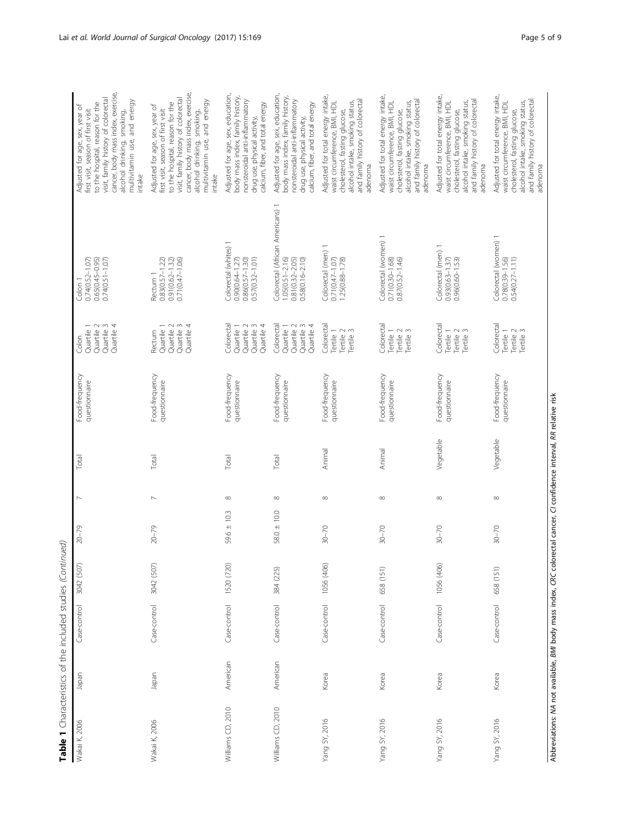| Wakai K, 2006     | Japan    | Case-control | 3042 (507) | $20 - 79$       | $\sim$                   | Total     | Food-frequency<br>questionnaire | Quartile 4<br>Quartile 2<br>Quartile 3<br>Quartile 1<br>Colon      | $0.65(0.45 - 0.95)$<br>$0.74(0.51 - 1.07)$<br>$0.74(0.52 - 1.07)$<br>Colon <sub>1</sub>               | cancer, body mass index, exercise,<br>visit, family history of colorectal<br>multivitamin use, and energy<br>to the hospital, reason for the<br>Adjusted for age, sex, year of<br>first visit, season of first visit<br>alcohol drinking, smoking,<br>intake |
|-------------------|----------|--------------|------------|-----------------|--------------------------|-----------|---------------------------------|--------------------------------------------------------------------|-------------------------------------------------------------------------------------------------------|--------------------------------------------------------------------------------------------------------------------------------------------------------------------------------------------------------------------------------------------------------------|
| Wakai K, 2006     | Japan    | Case-control | 3042 (507) | $20 - 79$       | $\overline{\phantom{a}}$ | Total     | Food-frequency<br>questionnaire | Quartile 1<br>Quartile 2<br>Quartile 3<br>Quartile 4<br>Rectum     | $0.71(0.47 - 1.06)$<br>$0.83(0.57 - 1.22)$<br>$0.91(0.62 - 1.32)$<br>Rectum 1                         | cancer, body mass index, exercise,<br>visit, family history of colorectal<br>multivitamin use, and energy<br>to the hospital, reason for the<br>Adjusted for age, sex, year of<br>alcohol drinking, smoking,<br>first visit, season of first visit<br>intake |
| Williams CD, 2010 | American | Case-control | 1520 (720) | $59.6 \pm 10.3$ | ${}^{\infty}$            | Total     | Food-frequency<br>questionnaire | Colorectal<br>Quartile 2<br>Quartile 3<br>Quartile 4<br>Quartile 1 | Colorectal (whites) 1<br>$0.86(0.57 - 1.30)$<br>$0.57(0.32 - 1.01)$<br>$0.90(0.64 - 1.27)$            | Adjusted for age, sex, education,<br>body mass index, family history,<br>nonsteroidal anti-inflammatory<br>calcium, fiber, and total energy<br>drug use, physical activity,                                                                                  |
| Williams CD, 2010 | American | Case-control | 384 (225)  | $58.0 \pm 10.0$ | $\infty$                 | Total     | Food-frequency<br>questionnaire | Colorectal<br>Quartile 2<br>Quartile 3<br>Quartile 4<br>Quartile 1 | Colorectal (African Americans) 1<br>$1.05(0.51 - 2.16)$<br>$0.58(0.16 - 2.10)$<br>$0.81(0.32 - 2.05)$ | Adjusted for age, sex, education,<br>body mass index, family history,<br>nonsteroidal anti-inflammatory<br>calcium, fiber, and total energy<br>drug use, physical activity,                                                                                  |
| Yang SY, 2016     | Korea    | Case-control | 1056 (406) | $30 - 70$       | ${}^{\infty}$            | Animal    | Food-frequency<br>questionnaire | Colorectal<br>Tertile 2<br>Tertile 3<br>Tertile 1                  | Colorectal (men) 1<br>$0.71(0.47 - 1.07)$<br>$1.25(0.88 - 1.78)$                                      | Adjusted for total energy intake,<br>and family history of colorectal<br>alcohol intake, smoking status,<br>waist circumference, BMI, HDL<br>cholesterol, fasting glucose,<br>adenoma                                                                        |
| rang SY, 2016     | Korea    | Case-control | 658 (151)  | $30 - 70$       | $\infty$                 | Animal    | Food-frequency<br>questionnaire | Colorectal<br>Tertile 2<br>Tertile 3<br>Tertile 1                  | Colorectal (women) 1<br>$0.71(0.30 - 1.68)$<br>$0.87(0.52 - 1.46)$                                    | Adjusted for total energy intake,<br>and family history of colorectal<br>alcohol intake, smoking status,<br>waist circumference, BMI, HDL<br>cholesterol, fasting glucose,<br>adenoma                                                                        |
| fang SY, 2016     | Korea    | Case-control | 1056 (406) | $30 - 70$       | $\infty$                 | Vegetable | Food-frequency<br>questionnaire | Colorectal<br>Tertile 2<br>Tertile 3<br>Tertile 1                  | Colorectal (men) 1<br>$0.96(0.60 - 1.53)$<br>$0.93(0.63 - 1.37)$                                      | Adjusted for total energy intake,<br>and family history of colorectal<br>alcohol intake, smoking status,<br>waist circumference, BMI, HDL<br>cholesterol, fasting glucose,<br>adenoma                                                                        |
| Yang SY, 2016     | Korea    | Case-control | 658 (151)  | $30 - 70$       | $\infty$                 | Vegetable | Food-frequency<br>questionnaire | Colorectal<br>Tertile 2<br>Tertile 3<br>Tertile 1                  | Colorectal (women) 1<br>$0.78(0.39 - 1.56)$<br>$0.54(0.27 - 1.11)$                                    | Adjusted for total energy intake,<br>and family history of colorectal<br>alcohol intake, smoking status,<br>waist circumference, BMI, HDL<br>cholesterol, fasting glucose,<br>adenoma                                                                        |

Table 1 Characteristics of the included studies (Continued) **Table 1** Characteristics of the included studies (Continued)

Abbreviations: NA not available, BMI body mass index, CRC colorectal cancer, CI confidence interval, RR relative risk

Abbreviations: MA not available, BMI body mass index, CRC colorectal cancer, CI confidence interval, RR relative risk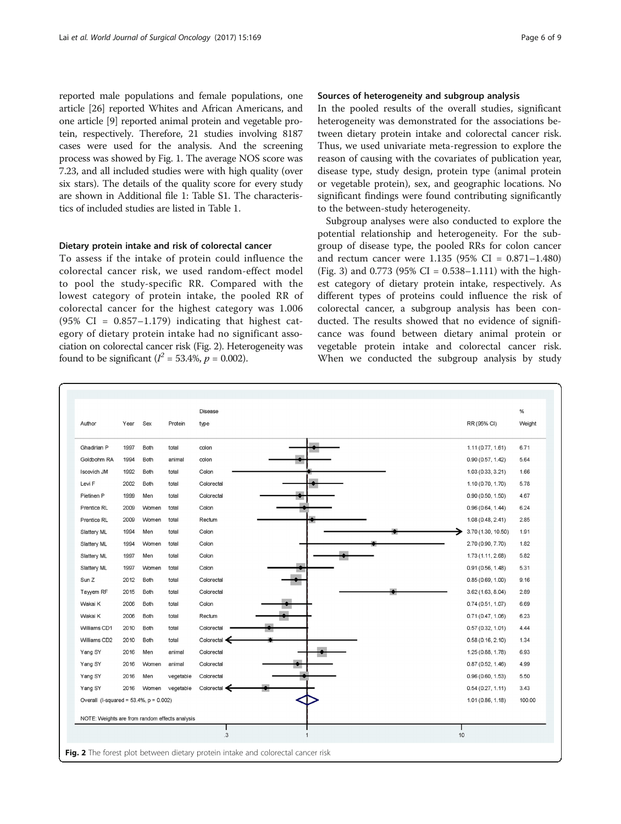reported male populations and female populations, one article [\[26\]](#page-8-0) reported Whites and African Americans, and one article [\[9](#page-8-0)] reported animal protein and vegetable protein, respectively. Therefore, 21 studies involving 8187 cases were used for the analysis. And the screening process was showed by Fig. [1](#page-1-0). The average NOS score was 7.23, and all included studies were with high quality (over six stars). The details of the quality score for every study are shown in Additional file [1:](#page-8-0) Table S1. The characteristics of included studies are listed in Table [1.](#page-2-0)

# Dietary protein intake and risk of colorectal cancer

To assess if the intake of protein could influence the colorectal cancer risk, we used random-effect model to pool the study-specific RR. Compared with the lowest category of protein intake, the pooled RR of colorectal cancer for the highest category was 1.006  $(95\% \text{ CI} = 0.857 - 1.179)$  indicating that highest category of dietary protein intake had no significant association on colorectal cancer risk (Fig. 2). Heterogeneity was found to be significant ( $l^2 = 53.4\%, p = 0.002$ ).

# Sources of heterogeneity and subgroup analysis

In the pooled results of the overall studies, significant heterogeneity was demonstrated for the associations between dietary protein intake and colorectal cancer risk. Thus, we used univariate meta-regression to explore the reason of causing with the covariates of publication year, disease type, study design, protein type (animal protein or vegetable protein), sex, and geographic locations. No significant findings were found contributing significantly to the between-study heterogeneity.

Subgroup analyses were also conducted to explore the potential relationship and heterogeneity. For the subgroup of disease type, the pooled RRs for colon cancer and rectum cancer were  $1.135$  (95% CI = 0.871-1.480) (Fig. [3](#page-6-0)) and 0.773 (95% CI =  $0.538-1.111$ ) with the highest category of dietary protein intake, respectively. As different types of proteins could influence the risk of colorectal cancer, a subgroup analysis has been conducted. The results showed that no evidence of significance was found between dietary animal protein or vegetable protein intake and colorectal cancer risk. When we conducted the subgroup analysis by study

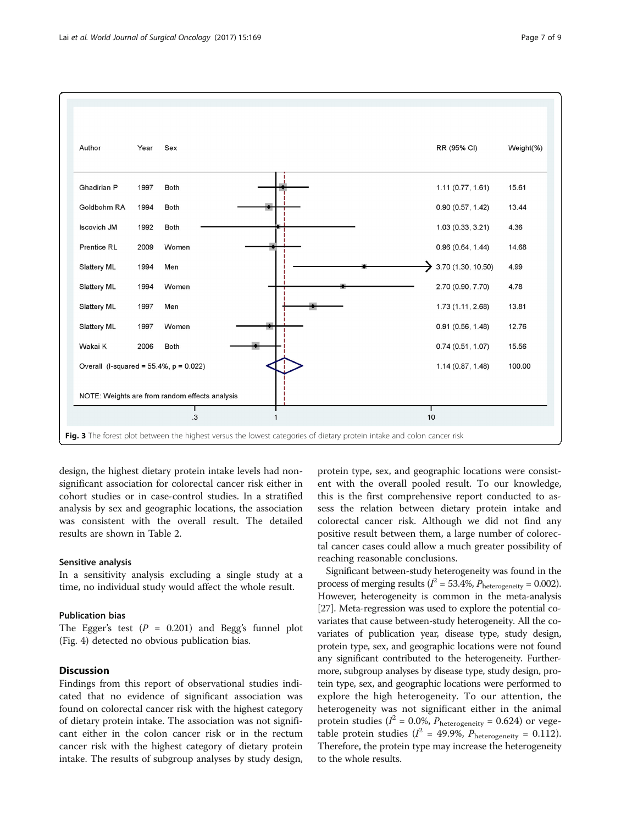<span id="page-6-0"></span>

design, the highest dietary protein intake levels had nonsignificant association for colorectal cancer risk either in cohort studies or in case-control studies. In a stratified analysis by sex and geographic locations, the association was consistent with the overall result. The detailed results are shown in Table [2](#page-7-0).

### Sensitive analysis

In a sensitivity analysis excluding a single study at a time, no individual study would affect the whole result.

# Publication bias

The Egger's test  $(P = 0.201)$  and Begg's funnel plot (Fig. [4](#page-7-0)) detected no obvious publication bias.

# **Discussion**

Findings from this report of observational studies indicated that no evidence of significant association was found on colorectal cancer risk with the highest category of dietary protein intake. The association was not significant either in the colon cancer risk or in the rectum cancer risk with the highest category of dietary protein intake. The results of subgroup analyses by study design, protein type, sex, and geographic locations were consistent with the overall pooled result. To our knowledge, this is the first comprehensive report conducted to assess the relation between dietary protein intake and colorectal cancer risk. Although we did not find any positive result between them, a large number of colorectal cancer cases could allow a much greater possibility of reaching reasonable conclusions.

Significant between-study heterogeneity was found in the process of merging results ( $l^2 = 53.4\%$ ,  $P_{\text{heterogeneity}} = 0.002$ ). However, heterogeneity is common in the meta-analysis [[27](#page-8-0)]. Meta-regression was used to explore the potential covariates that cause between-study heterogeneity. All the covariates of publication year, disease type, study design, protein type, sex, and geographic locations were not found any significant contributed to the heterogeneity. Furthermore, subgroup analyses by disease type, study design, protein type, sex, and geographic locations were performed to explore the high heterogeneity. To our attention, the heterogeneity was not significant either in the animal protein studies ( $I^2 = 0.0\%$ ,  $P_{\text{heterogeneity}} = 0.624$ ) or vegetable protein studies ( $l^2 = 49.9\%$ ,  $P_{\text{heterogeneity}} = 0.112$ ). Therefore, the protein type may increase the heterogeneity to the whole results.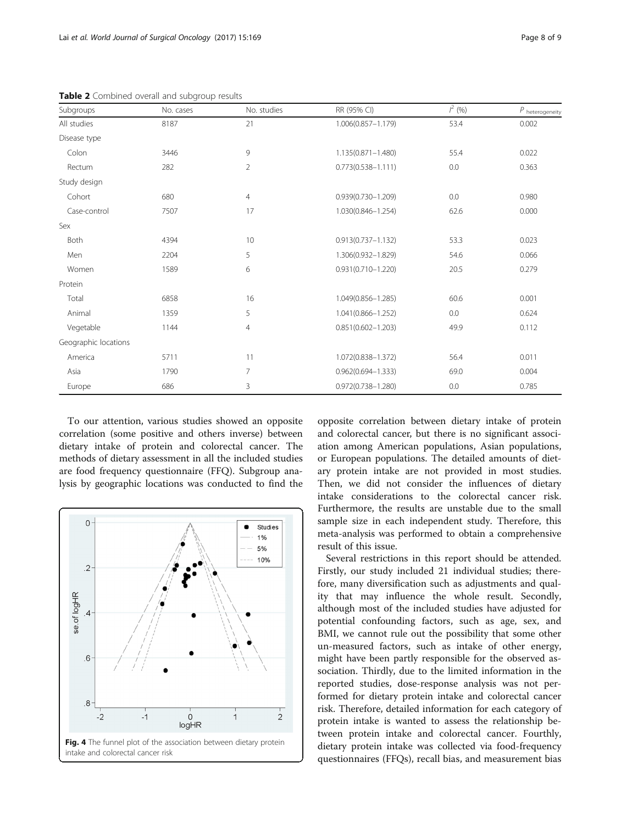|                      | <b>Table 2</b> Combined overall and subgroup results |                |                        |                  |                                |
|----------------------|------------------------------------------------------|----------------|------------------------|------------------|--------------------------------|
| Subgroups            | No. cases                                            | No. studies    | RR (95% CI)            | $\sqrt{1^2}$ (%) | $\boldsymbol{P}$ heterogeneity |
| All studies          | 8187                                                 | 21             | 1.006(0.857-1.179)     | 53.4             | 0.002                          |
| Disease type         |                                                      |                |                        |                  |                                |
| Colon                | 3446                                                 | 9              | 1.135(0.871-1.480)     | 55.4             | 0.022                          |
| Rectum               | 282                                                  | $\overline{2}$ | $0.773(0.538 - 1.111)$ | 0.0              | 0.363                          |
| Study design         |                                                      |                |                        |                  |                                |
| Cohort               | 680                                                  | 4              | 0.939(0.730-1.209)     | 0.0              | 0.980                          |
| Case-control         | 7507                                                 | 17             | 1.030(0.846-1.254)     | 62.6             | 0.000                          |
| Sex                  |                                                      |                |                        |                  |                                |
| Both                 | 4394                                                 | 10             | $0.913(0.737 - 1.132)$ | 53.3             | 0.023                          |
| Men                  | 2204                                                 | 5              | 1.306(0.932-1.829)     | 54.6             | 0.066                          |
| Women                | 1589                                                 | 6              | $0.931(0.710 - 1.220)$ | 20.5             | 0.279                          |
| Protein              |                                                      |                |                        |                  |                                |
| Total                | 6858                                                 | 16             | 1.049(0.856-1.285)     | 60.6             | 0.001                          |
| Animal               | 1359                                                 | 5              | 1.041(0.866-1.252)     | 0.0              | 0.624                          |
| Vegetable            | 1144                                                 | 4              | $0.851(0.602 - 1.203)$ | 49.9             | 0.112                          |
| Geographic locations |                                                      |                |                        |                  |                                |
| America              | 5711                                                 | 11             | 1.072(0.838-1.372)     | 56.4             | 0.011                          |
|                      |                                                      |                |                        |                  |                                |

Asia 1790 7 0.962(0.694–1.333) 69.0 0.004 Europe 686 3 0.972(0.738–1.280) 0.0 0.785

<span id="page-7-0"></span>Table 2 Combined overall and subgroup results

To our attention, various studies showed an opposite correlation (some positive and others inverse) between dietary intake of protein and colorectal cancer. The methods of dietary assessment in all the included studies are food frequency questionnaire (FFQ). Subgroup analysis by geographic locations was conducted to find the



opposite correlation between dietary intake of protein and colorectal cancer, but there is no significant association among American populations, Asian populations, or European populations. The detailed amounts of dietary protein intake are not provided in most studies. Then, we did not consider the influences of dietary intake considerations to the colorectal cancer risk. Furthermore, the results are unstable due to the small sample size in each independent study. Therefore, this meta-analysis was performed to obtain a comprehensive result of this issue.

Several restrictions in this report should be attended. Firstly, our study included 21 individual studies; therefore, many diversification such as adjustments and quality that may influence the whole result. Secondly, although most of the included studies have adjusted for potential confounding factors, such as age, sex, and BMI, we cannot rule out the possibility that some other un-measured factors, such as intake of other energy, might have been partly responsible for the observed association. Thirdly, due to the limited information in the reported studies, dose-response analysis was not performed for dietary protein intake and colorectal cancer risk. Therefore, detailed information for each category of protein intake is wanted to assess the relationship between protein intake and colorectal cancer. Fourthly, dietary protein intake was collected via food-frequency questionnaires (FFQs), recall bias, and measurement bias